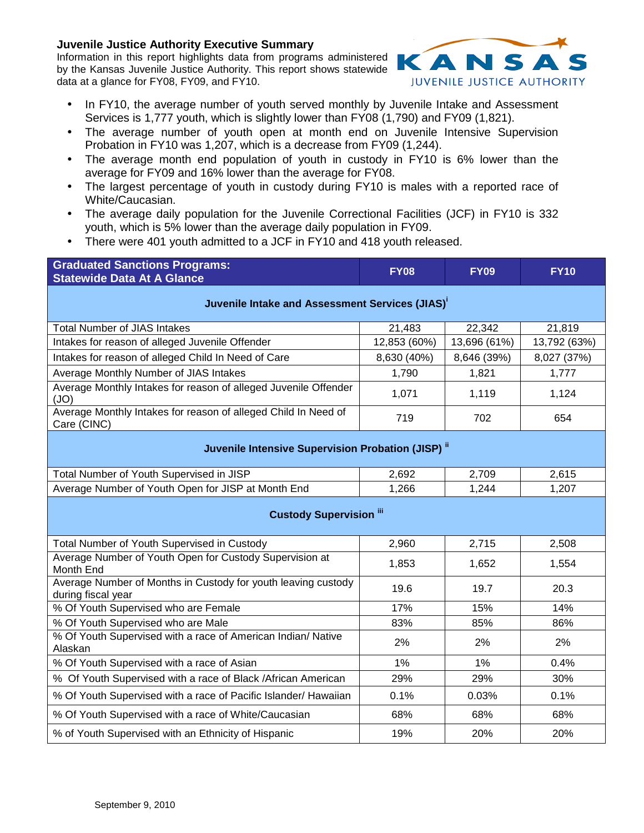## **Juvenile Justice Authority Executive Summary**

Information in this report highlights data from programs administered by the Kansas Juvenile Justice Authority. This report shows statewide data at a glance for FY08, FY09, and FY10.



- In FY10, the average number of youth served monthly by Juvenile Intake and Assessment Services is 1,777 youth, which is slightly lower than FY08 (1,790) and FY09 (1,821).
- The average number of youth open at month end on Juvenile Intensive Supervision Probation in FY10 was 1,207, which is a decrease from FY09 (1,244).
- The average month end population of youth in custody in FY10 is 6% lower than the average for FY09 and 16% lower than the average for FY08.
- The largest percentage of youth in custody during FY10 is males with a reported race of White/Caucasian.
- The average daily population for the Juvenile Correctional Facilities (JCF) in FY10 is 332 youth, which is 5% lower than the average daily population in FY09.
- There were 401 youth admitted to a JCF in FY10 and 418 youth released.

| <b>Graduated Sanctions Programs:</b><br><b>Statewide Data At A Glance</b>           | <b>FY08</b>  | <b>FY09</b>  | <b>FY10</b>  |  |  |  |  |
|-------------------------------------------------------------------------------------|--------------|--------------|--------------|--|--|--|--|
| Juvenile Intake and Assessment Services (JIAS) <sup>1</sup>                         |              |              |              |  |  |  |  |
| <b>Total Number of JIAS Intakes</b>                                                 | 21,483       | 22,342       | 21,819       |  |  |  |  |
| Intakes for reason of alleged Juvenile Offender                                     | 12,853 (60%) | 13,696 (61%) | 13,792 (63%) |  |  |  |  |
| Intakes for reason of alleged Child In Need of Care                                 | 8,630 (40%)  | 8,646 (39%)  | 8,027 (37%)  |  |  |  |  |
| Average Monthly Number of JIAS Intakes                                              | 1,790        | 1,821        | 1,777        |  |  |  |  |
| Average Monthly Intakes for reason of alleged Juvenile Offender<br>(JO)             | 1,071        | 1,119        | 1,124        |  |  |  |  |
| Average Monthly Intakes for reason of alleged Child In Need of<br>Care (CINC)       | 719          | 702          | 654          |  |  |  |  |
| Juvenile Intensive Supervision Probation (JISP) <sup>ii</sup>                       |              |              |              |  |  |  |  |
| Total Number of Youth Supervised in JISP                                            | 2,692        | 2,709        | 2,615        |  |  |  |  |
| Average Number of Youth Open for JISP at Month End                                  | 1,266        | 1,244        | 1,207        |  |  |  |  |
| <b>Custody Supervision "</b>                                                        |              |              |              |  |  |  |  |
| Total Number of Youth Supervised in Custody                                         | 2,960        | 2,715        | 2,508        |  |  |  |  |
| Average Number of Youth Open for Custody Supervision at<br>Month End                | 1,853        | 1,652        | 1,554        |  |  |  |  |
| Average Number of Months in Custody for youth leaving custody<br>during fiscal year | 19.6         | 19.7         | 20.3         |  |  |  |  |
| % Of Youth Supervised who are Female                                                | 17%          | 15%          | 14%          |  |  |  |  |
| % Of Youth Supervised who are Male                                                  | 83%          | 85%          | 86%          |  |  |  |  |
| % Of Youth Supervised with a race of American Indian/ Native<br>Alaskan             | 2%<br>2%     |              | 2%           |  |  |  |  |
| % Of Youth Supervised with a race of Asian                                          | 1%           | 1%           | 0.4%         |  |  |  |  |
| % Of Youth Supervised with a race of Black / African American                       | 29%          | 29%          | 30%          |  |  |  |  |
| % Of Youth Supervised with a race of Pacific Islander/ Hawaiian                     | 0.1%         | 0.03%        | 0.1%         |  |  |  |  |
| % Of Youth Supervised with a race of White/Caucasian                                | 68%          | 68%          | 68%          |  |  |  |  |
| % of Youth Supervised with an Ethnicity of Hispanic                                 | 19%          | 20%          | 20%          |  |  |  |  |